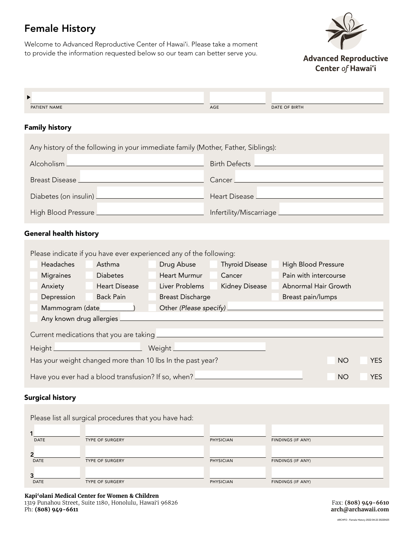# Female History

Welcome to Advanced Reproductive Center of Hawaiʻi. Please take a moment to provide the information requested below so our team can better serve you.



**Advanced Reproductive** Center of Hawai'i

| PATIENT NAME                                                                                                                                                                                                                         |                         | AGE                                 | DATE OF BIRTH                            |                         |  |
|--------------------------------------------------------------------------------------------------------------------------------------------------------------------------------------------------------------------------------------|-------------------------|-------------------------------------|------------------------------------------|-------------------------|--|
| <b>Family history</b>                                                                                                                                                                                                                |                         |                                     |                                          |                         |  |
| Any history of the following in your immediate family (Mother, Father, Siblings):                                                                                                                                                    |                         |                                     |                                          |                         |  |
| Alcoholism <sub>-</sub><br><u> 1989 - Johann Stein, marwolaethau a bhann an t-Albann an t-Albann an t-Albann an t-Albann an t-Albann an t-Alb</u>                                                                                    |                         | Birth Defects <u>______________</u> |                                          |                         |  |
| Breast Disease <u>_____________________________</u>                                                                                                                                                                                  |                         |                                     |                                          |                         |  |
| Diabetes (on insulin) <u>Diabetes (on insuling</u>                                                                                                                                                                                   |                         |                                     | Heart Disease <b>Lawrence and School</b> |                         |  |
|                                                                                                                                                                                                                                      |                         |                                     |                                          |                         |  |
| <b>General health history</b>                                                                                                                                                                                                        |                         |                                     |                                          |                         |  |
| Please indicate if you have ever experienced any of the following:                                                                                                                                                                   |                         |                                     |                                          |                         |  |
| <b>Headaches</b><br>Asthma                                                                                                                                                                                                           | Drug Abuse              | <b>Thyroid Disease</b>              | <b>High Blood Pressure</b>               |                         |  |
| <b>Diabetes</b><br><b>Migraines</b>                                                                                                                                                                                                  | Heart Murmur            | Cancer                              | Pain with intercourse                    |                         |  |
| Anxiety Heart Disease                                                                                                                                                                                                                | Liver Problems          | <b>Kidney Disease</b>               | Abnormal Hair Growth                     |                         |  |
| <b>Back Pain</b><br>Depression<br>$\mathcal{L}^{\text{max}}$                                                                                                                                                                         | <b>Breast Discharge</b> |                                     | Breast pain/lumps                        |                         |  |
| Mammogram (date___________)                                                                                                                                                                                                          |                         |                                     |                                          |                         |  |
|                                                                                                                                                                                                                                      |                         |                                     |                                          |                         |  |
| Current medications that you are taking <b>expansion of the contract of the contract of the contract of the contract of the contract of the contract of the contract of the contract of the contract of the contract of the cont</b> |                         |                                     |                                          |                         |  |
|                                                                                                                                                                                                                                      |                         |                                     |                                          |                         |  |
| Has your weight changed more than 10 lbs In the past year?                                                                                                                                                                           |                         |                                     |                                          | <b>NO</b><br><b>YES</b> |  |
| Have you ever had a blood transfusion? If so, when?                                                                                                                                                                                  |                         |                                     |                                          | <b>NO</b><br><b>YES</b> |  |

#### Surgical history

|             | Please list all surgical procedures that you have had: |                  |                   |
|-------------|--------------------------------------------------------|------------------|-------------------|
| <b>DATE</b> | <b>TYPE OF SURGERY</b>                                 | <b>PHYSICIAN</b> | FINDINGS (IF ANY) |
| <b>DATE</b> | <b>TYPE OF SURGERY</b>                                 | <b>PHYSICIAN</b> | FINDINGS (IF ANY) |
| <b>DATE</b> | <b>TYPE OF SURGERY</b>                                 | <b>PHYSICIAN</b> | FINDINGS (IF ANY) |

**Kapi'olani Medical Center for Women & Children**  1319 Punahou Street, Suite 1180, Honolulu, Hawaiʻi 96826 Ph: **(808) 949-6611**

Fax: **(808) 949-6610 arch@archawaii.com**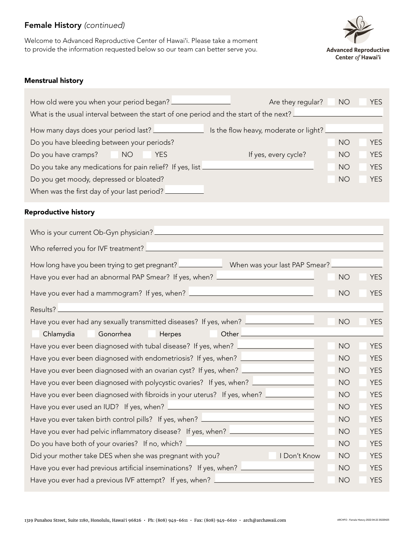## Female History *(continued)*

Welcome to Advanced Reproductive Center of Hawaiʻi. Please take a moment to provide the information requested below so our team can better serve you.



#### Menstrual history

| How old were you when your period began? _________                                    | Are they regular?                     | <b>NO</b> | <b>YES</b> |  |
|---------------------------------------------------------------------------------------|---------------------------------------|-----------|------------|--|
| What is the usual interval between the start of one period and the start of the next? |                                       |           |            |  |
| How many days does your period last?                                                  | Is the flow heavy, moderate or light? |           |            |  |
| Do you have bleeding between your periods?                                            |                                       |           | <b>YES</b> |  |
| Do you have cramps?<br><b>NO</b><br><b>YES</b>                                        | If yes, every cycle?                  | <b>NO</b> | <b>YES</b> |  |
| Do you take any medications for pain relief? If yes, list _                           |                                       |           | <b>YES</b> |  |
| Do you get moody, depressed or bloated?                                               |                                       |           | <b>YES</b> |  |
| When was the first day of your last period? _                                         |                                       |           |            |  |

#### Reproductive history

| How long have you been trying to get pregnant? __________________________________ When was your last PAP Smear? _ |           |            |  |
|-------------------------------------------------------------------------------------------------------------------|-----------|------------|--|
| Have you ever had an abnormal PAP Smear? If yes, when? <u>_________________________</u>                           | <b>NO</b> | <b>YES</b> |  |
| Have you ever had a mammogram? If yes, when? ___________________________________                                  | <b>NO</b> | <b>YES</b> |  |
| Results?                                                                                                          |           |            |  |
| Have you ever had any sexually transmitted diseases? If yes, when? <u>Lace and a mean</u>                         | <b>NO</b> | <b>YES</b> |  |
| Chlamydia<br>Gonorrhea<br>Herpes                                                                                  |           |            |  |
| Have you ever been diagnosed with tubal disease? If yes, when? <u>Increase manual</u>                             | <b>NO</b> | <b>YES</b> |  |
| Have you ever been diagnosed with endometriosis? If yes, when? _________________                                  | <b>NO</b> | <b>YES</b> |  |
| Have you ever been diagnosed with an ovarian cyst? If yes, when? _______________                                  | <b>NO</b> | <b>YES</b> |  |
| Have you ever been diagnosed with polycystic ovaries? If yes, when? ____________                                  | <b>NO</b> | <b>YES</b> |  |
| Have you ever been diagnosed with fibroids in your uterus? If yes, when?                                          | <b>NO</b> | <b>YES</b> |  |
|                                                                                                                   | <b>NO</b> | <b>YES</b> |  |
| Have you ever taken birth control pills? If yes, when? <u>_________________________</u>                           | <b>NO</b> | <b>YES</b> |  |
| Have you ever had pelvic inflammatory disease? If yes, when? <u>Increase mess</u>                                 | <b>NO</b> | <b>YES</b> |  |
| Do you have both of your ovaries? If no, which? <u>Increase and the second</u>                                    | <b>NO</b> | <b>YES</b> |  |
| I Don't Know<br>Did your mother take DES when she was pregnant with you?                                          | <b>NO</b> | <b>YES</b> |  |
| Have you ever had previous artificial inseminations? If yes, when? L                                              | <b>NO</b> | <b>YES</b> |  |
| Have you ever had a previous IVF attempt? If yes, when? L                                                         | <b>NO</b> | <b>YES</b> |  |